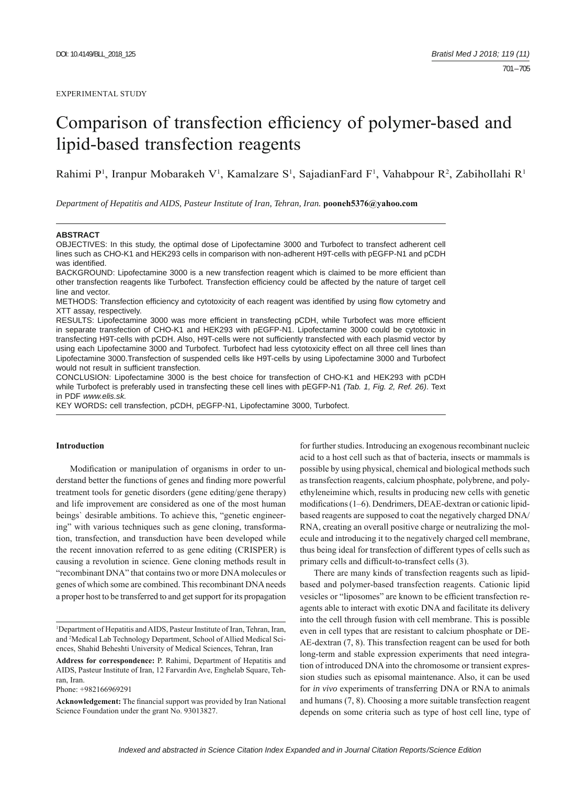# Comparison of transfection efficiency of polymer-based and lipid-based transfection reagents

Rahimi P<sup>1</sup>, Iranpur Mobarakeh V<sup>1</sup>, Kamalzare S<sup>1</sup>, SajadianFard F<sup>1</sup>, Vahabpour R<sup>2</sup>, Zabihollahi R<sup>1</sup>

*Department of Hepatitis and AIDS, Pasteur Institute of Iran, Tehran, Iran.* **pooneh5376@yahoo.com**

#### **ABSTRACT**

OBJECTIVES: In this study, the optimal dose of Lipofectamine 3000 and Turbofect to transfect adherent cell lines such as CHO-K1 and HEK293 cells in comparison with non-adherent H9T-cells with pEGFP-N1 and pCDH was identified.

BACKGROUND: Lipofectamine 3000 is a new transfection reagent which is claimed to be more efficient than other transfection reagents like Turbofect. Transfection efficiency could be affected by the nature of target cell line and vector.

METHODS: Transfection efficiency and cytotoxicity of each reagent was identified by using flow cytometry and XTT assay, respectively.

RESULTS: Lipofectamine 3000 was more efficient in transfecting pCDH, while Turbofect was more efficient in separate transfection of CHO-K1 and HEK293 with pEGFP-N1. Lipofectamine 3000 could be cytotoxic in transfecting H9T-cells with pCDH. Also, H9T-cells were not sufficiently transfected with each plasmid vector by using each Lipofectamine 3000 and Turbofect. Turbofect had less cytotoxicity effect on all three cell lines than Lipofectamine 3000.Transfection of suspended cells like H9T-cells by using Lipofectamine 3000 and Turbofect would not result in sufficient transfection.

CONCLUSION: Lipofectamine 3000 is the best choice for transfection of CHO-K1 and HEK293 with pCDH while Turbofect is preferably used in transfecting these cell lines with pEGFP-N1 *(Tab. 1, Fig. 2, Ref. 26)*. Text in PDF *www.elis.sk.*

KEY WORDS**:** cell transfection, pCDH, pEGFP-N1, Lipofectamine 3000, Turbofect.

# **Introduction**

Modification or manipulation of organisms in order to understand better the functions of genes and finding more powerful treatment tools for genetic disorders (gene editing/gene therapy) and life improvement are considered as one of the most human beings` desirable ambitions. To achieve this, "genetic engineering" with various techniques such as gene cloning, transformation, transfection, and transduction have been developed while the recent innovation referred to as gene editing (CRISPER) is causing a revolution in science. Gene cloning methods result in "recombinant DNA" that contains two or more DNA molecules or genes of which some are combined. This recombinant DNA needs a proper host to be transferred to and get support for its propagation

Phone: +982166969291

for further studies. Introducing an exogenous recombinant nucleic acid to a host cell such as that of bacteria, insects or mammals is possible by using physical, chemical and biological methods such as transfection reagents, calcium phosphate, polybrene, and polyethyleneimine which, results in producing new cells with genetic modifications (1–6). Dendrimers, DEAE-dextran or cationic lipidbased reagents are supposed to coat the negatively charged DNA/ RNA, creating an overall positive charge or neutralizing the molecule and introducing it to the negatively charged cell membrane, thus being ideal for transfection of different types of cells such as primary cells and difficult-to-transfect cells (3).

There are many kinds of transfection reagents such as lipidbased and polymer-based transfection reagents. Cationic lipid vesicles or "liposomes" are known to be efficient transfection reagents able to interact with exotic DNA and facilitate its delivery into the cell through fusion with cell membrane. This is possible even in cell types that are resistant to calcium phosphate or DE-AE-dextran (7, 8). This transfection reagent can be used for both long-term and stable expression experiments that need integration of introduced DNA into the chromosome or transient expression studies such as episomal maintenance. Also, it can be used for *in vivo* experiments of transferring DNA or RNA to animals and humans (7, 8). Choosing a more suitable transfection reagent depends on some criteria such as type of host cell line, type of

<sup>&</sup>lt;sup>1</sup>Department of Hepatitis and AIDS, Pasteur Institute of Iran, Tehran, Iran, and 2 Medical Lab Technology Department, School of Allied Medical Sciences, Shahid Beheshti University of Medical Sciences, Tehran, Iran

**Address for correspondence:** P. Rahimi, Department of Hepatitis and AIDS, Pasteur Institute of Iran, 12 Farvardin Ave, Enghelab Square, Tehran, Iran.

Acknowledgement: The financial support was provided by Iran National Science Foundation under the grant No. 93013827.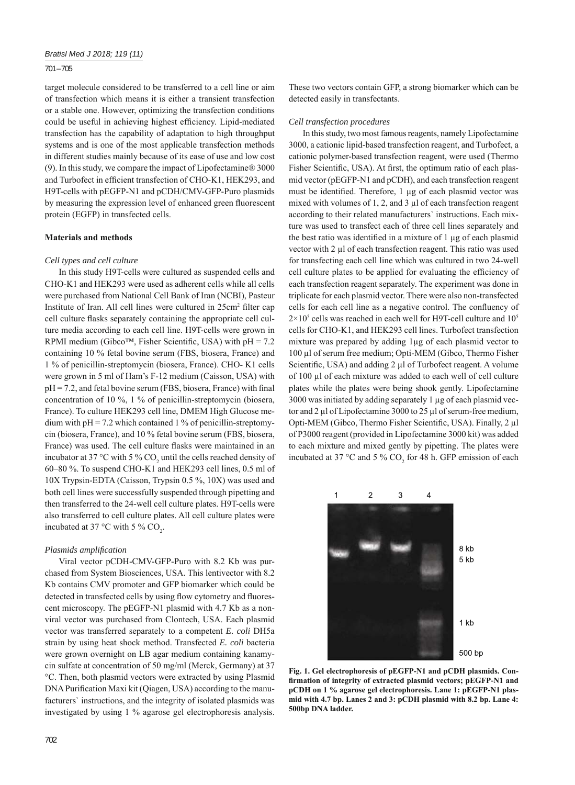### 701 – 705

target molecule considered to be transferred to a cell line or aim of transfection which means it is either a transient transfection or a stable one. However, optimizing the transfection conditions could be useful in achieving highest efficiency. Lipid-mediated transfection has the capability of adaptation to high throughput systems and is one of the most applicable transfection methods in different studies mainly because of its ease of use and low cost (9). In this study, we compare the impact of Lipofectamine® 3000 and Turbofect in efficient transfection of CHO-K1, HEK293, and H9T-cells with pEGFP-N1 and pCDH/CMV-GFP-Puro plasmids by measuring the expression level of enhanced green fluorescent protein (EGFP) in transfected cells.

#### **Materials and methods**

#### *Cell types and cell culture*

In this study H9T-cells were cultured as suspended cells and CHO-K1 and HEK293 were used as adherent cells while all cells were purchased from National Cell Bank of Iran (NCBI), Pasteur Institute of Iran. All cell lines were cultured in 25cm<sup>2</sup> filter cap cell culture flasks separately containing the appropriate cell culture media according to each cell line. H9T-cells were grown in RPMI medium (Gibco<sup>™</sup>, Fisher Scientific, USA) with  $pH = 7.2$ containing 10 % fetal bovine serum (FBS, biosera, France) and 1 % of penicillin-streptomycin (biosera, France). CHO- K1 cells were grown in 5 ml of Ham's F-12 medium (Caisson, USA) with  $pH = 7.2$ , and fetal bovine serum (FBS, biosera, France) with final concentration of 10 %, 1 % of penicillin-streptomycin (biosera, France). To culture HEK293 cell line, DMEM High Glucose medium with  $pH = 7.2$  which contained 1 % of penicillin-streptomycin (biosera, France), and 10 % fetal bovine serum (FBS, biosera, France) was used. The cell culture flasks were maintained in an incubator at 37 °C with 5 %  $CO_2$  until the cells reached density of 60–80 %. To suspend CHO-K1 and HEK293 cell lines, 0.5 ml of 10X Trypsin-EDTA (Caisson, Trypsin 0.5 %, 10X) was used and both cell lines were successfully suspended through pipetting and then transferred to the 24-well cell culture plates. H9T-cells were also transferred to cell culture plates. All cell culture plates were incubated at 37 °C with 5 %  $CO_2$ .

## *Plasmids amplifi cation*

Viral vector pCDH-CMV-GFP-Puro with 8.2 Kb was purchased from System Biosciences, USA. This lentivector with 8.2 Kb contains CMV promoter and GFP biomarker which could be detected in transfected cells by using flow cytometry and fluorescent microscopy. The pEGFP-N1 plasmid with 4.7 Kb as a nonviral vector was purchased from Clontech, USA. Each plasmid vector was transferred separately to a competent *E. coli* DH5a strain by using heat shock method. Transfected *E. coli* bacteria were grown overnight on LB agar medium containing kanamycin sulfate at concentration of 50 mg/ml (Merck, Germany) at 37 °C. Then, both plasmid vectors were extracted by using Plasmid DNA Purification Maxi kit (Qiagen, USA) according to the manufacturers` instructions, and the integrity of isolated plasmids was investigated by using 1 % agarose gel electrophoresis analysis.

These two vectors contain GFP, a strong biomarker which can be detected easily in transfectants.

#### *Cell transfection procedures*

In this study, two most famous reagents, namely Lipofectamine 3000, a cationic lipid-based transfection reagent, and Turbofect, a cationic polymer-based transfection reagent, were used (Thermo Fisher Scientific, USA). At first, the optimum ratio of each plasmid vector (pEGFP-N1 and pCDH), and each transfection reagent must be identified. Therefore, 1 μg of each plasmid vector was mixed with volumes of 1, 2, and 3 μl of each transfection reagent according to their related manufacturers` instructions. Each mixture was used to transfect each of three cell lines separately and the best ratio was identified in a mixture of  $1 \mu$ g of each plasmid vector with 2 μl of each transfection reagent. This ratio was used for transfecting each cell line which was cultured in two 24-well cell culture plates to be applied for evaluating the efficiency of each transfection reagent separately. The experiment was done in triplicate for each plasmid vector. There were also non-transfected cells for each cell line as a negative control. The confluency of  $2 \times 10^5$  cells was reached in each well for H9T-cell culture and 10<sup>5</sup> cells for CHO-K1, and HEK293 cell lines. Turbofect transfection mixture was prepared by adding 1μg of each plasmid vector to 100 μl of serum free medium; Opti-MEM (Gibco, Thermo Fisher Scientific, USA) and adding  $2 \mu l$  of Turbofect reagent. A volume of 100 μl of each mixture was added to each well of cell culture plates while the plates were being shook gently. Lipofectamine 3000 was initiated by adding separately 1 μg of each plasmid vector and 2 μl of Lipofectamine 3000 to 25 μl of serum-free medium, Opti-MEM (Gibco, Thermo Fisher Scientific, USA). Finally, 2 μl of P3000 reagent (provided in Lipofectamine 3000 kit) was added to each mixture and mixed gently by pipetting. The plates were incubated at 37 °C and 5 %  $CO<sub>2</sub>$  for 48 h. GFP emission of each



**Fig. 1. Gel electrophoresis of pEGFP-N1 and pCDH plasmids. Con**firmation of integrity of extracted plasmid vectors; pEGFP-N1 and **pCDH on 1 % agarose gel electrophoresis. Lane 1: pEGFP-N1 plasmid with 4.7 bp. Lanes 2 and 3: pCDH plasmid with 8.2 bp. Lane 4: 500bp DNA ladder.**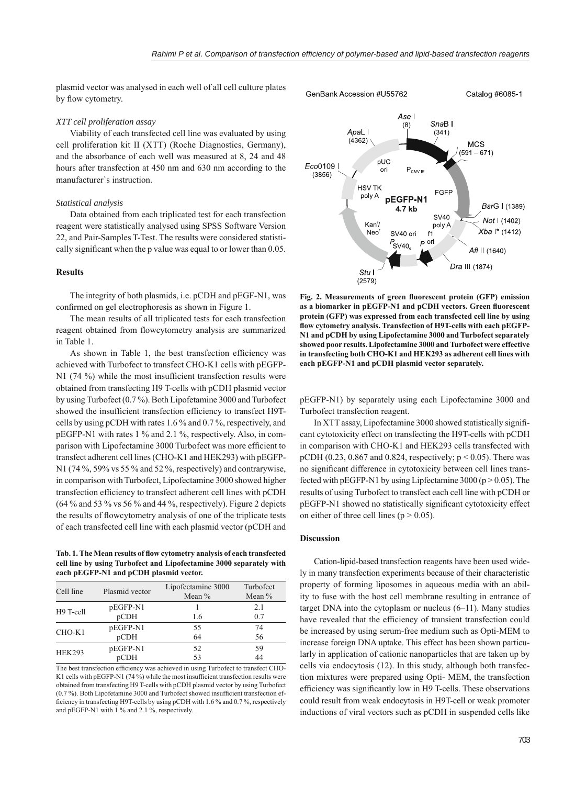plasmid vector was analysed in each well of all cell culture plates by flow cytometry.

#### *XTT cell proliferation assay*

Viability of each transfected cell line was evaluated by using cell proliferation kit II (XTT) (Roche Diagnostics, Germany), and the absorbance of each well was measured at 8, 24 and 48 hours after transfection at 450 nm and 630 nm according to the manufacturer`s instruction.

## *Statistical analysis*

Data obtained from each triplicated test for each transfection reagent were statistically analysed using SPSS Software Version 22, and Pair-Samples T-Test. The results were considered statistically significant when the p value was equal to or lower than 0.05.

## **Results**

The integrity of both plasmids, i.e. pCDH and pEGF-N1, was confirmed on gel electrophoresis as shown in Figure 1.

The mean results of all triplicated tests for each transfection reagent obtained from flowcytometry analysis are summarized in Table 1.

As shown in Table 1, the best transfection efficiency was achieved with Turbofect to transfect CHO-K1 cells with pEGFP- $N1$  (74 %) while the most insufficient transfection results were obtained from transfecting H9 T-cells with pCDH plasmid vector by using Turbofect (0.7 %). Both Lipofetamine 3000 and Turbofect showed the insufficient transfection efficiency to transfect H9Tcells by using pCDH with rates 1.6 % and 0.7 %, respectively, and pEGFP-N1 with rates 1 % and 2.1 %, respectively. Also, in comparison with Lipofectamine 3000 Turbofect was more efficient to transfect adherent cell lines (CHO-K1 and HEK293) with pEGFP-N1 (74 %, 59% vs 55 % and 52 %, respectively) and contrarywise, in comparison with Turbofect, Lipofectamine 3000 showed higher transfection efficiency to transfect adherent cell lines with pCDH (64 % and 53 % vs 56 % and 44 %, respectively). Figure 2 depicts the results of flowcytometry analysis of one of the triplicate tests of each transfected cell line with each plasmid vector (pCDH and

Tab. 1. The Mean results of flow cytometry analysis of each transfected **cell line by using Turbofect and Lipofectamine 3000 separately with each pEGFP-N1 and pCDH plasmid vector.**

| Cell line     | Plasmid vector | Lipofectamine 3000<br>Mean $%$ | Turbofect<br>Mean $%$ |
|---------------|----------------|--------------------------------|-----------------------|
| H9 T-cell     | pEGFP-N1       |                                | 2.1                   |
|               | pCDH           | 1.6                            | 0.7                   |
| $CHO-K1$      | pEGFP-N1       | 55                             | 74                    |
|               | pCDH           | 64                             | 56                    |
| <b>HEK293</b> | pEGFP-N1       | 52                             | 59                    |
|               | pCDH           | 53                             | 44                    |

The best transfection efficiency was achieved in using Turbofect to transfect CHO-K1 cells with pEGFP-N1 (74 %) while the most insufficient transfection results were obtained from transfecting H9 T-cells with pCDH plasmid vector by using Turbofect (0.7 %). Both Lipofetamine 3000 and Turbofect showed insufficient transfection efficiency in transfecting H9T-cells by using pCDH with 1.6 % and 0.7 %, respectively and pEGFP-N1 with 1 % and 2.1 %, respectively.



Fig. 2. Measurements of green fluorescent protein (GFP) emission as a biomarker in pEGFP-N1 and pCDH vectors. Green fluorescent **protein (GFP) was expressed from each transfected cell line by using**  flow cytometry analysis. Transfection of H9T-cells with each pEGFP-**N1 and pCDH by using Lipofectamine 3000 and Turbofect separately showed poor results. Lipofectamine 3000 and Turbofect were effective in transfecting both CHO-K1 and HEK293 as adherent cell lines with each pEGFP-N1 and pCDH plasmid vector separately.**

pEGFP-N1) by separately using each Lipofectamine 3000 and Turbofect transfection reagent.

In XTT assay, Lipofectamine 3000 showed statistically signifi cant cytotoxicity effect on transfecting the H9T-cells with pCDH in comparison with CHO-K1 and HEK293 cells transfected with pCDH (0.23, 0.867 and 0.824, respectively;  $p < 0.05$ ). There was no significant difference in cytotoxicity between cell lines transfected with  $pEGFP-N1$  by using Lipfectamine 3000 ( $p > 0.05$ ). The results of using Turbofect to transfect each cell line with pCDH or pEGFP-N1 showed no statistically significant cytotoxicity effect on either of three cell lines ( $p > 0.05$ ).

#### **Discussion**

Cation-lipid-based transfection reagents have been used widely in many transfection experiments because of their characteristic property of forming liposomes in aqueous media with an ability to fuse with the host cell membrane resulting in entrance of target DNA into the cytoplasm or nucleus (6–11). Many studies have revealed that the efficiency of transient transfection could be increased by using serum-free medium such as Opti-MEM to increase foreign DNA uptake. This effect has been shown particularly in application of cationic nanoparticles that are taken up by cells via endocytosis (12). In this study, although both transfection mixtures were prepared using Opti- MEM, the transfection efficiency was significantly low in H9 T-cells. These observations could result from weak endocytosis in H9T-cell or weak promoter inductions of viral vectors such as pCDH in suspended cells like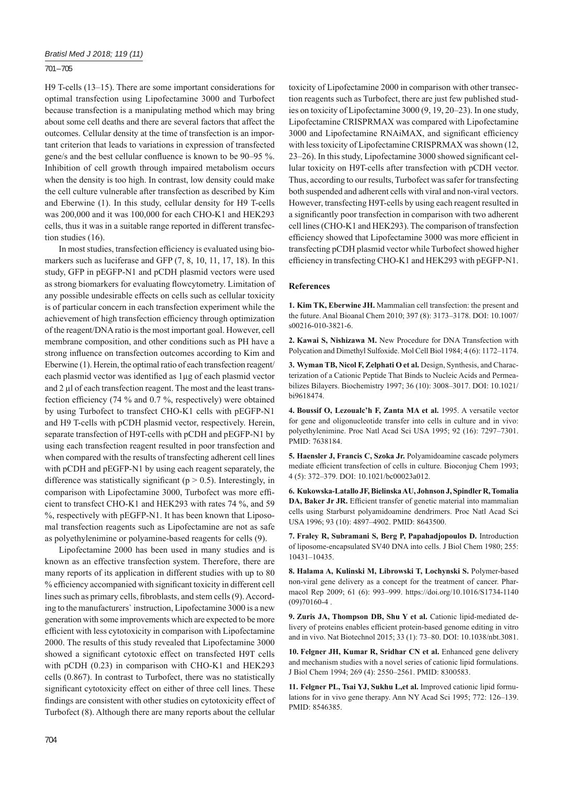## 701 – 705

H9 T-cells (13–15). There are some important considerations for optimal transfection using Lipofectamine 3000 and Turbofect because transfection is a manipulating method which may bring about some cell deaths and there are several factors that affect the outcomes. Cellular density at the time of transfection is an important criterion that leads to variations in expression of transfected gene/s and the best cellular confluence is known to be 90–95 %. Inhibition of cell growth through impaired metabolism occurs when the density is too high. In contrast, low density could make the cell culture vulnerable after transfection as described by Kim and Eberwine (1). In this study, cellular density for H9 T-cells was 200,000 and it was 100,000 for each CHO-K1 and HEK293 cells, thus it was in a suitable range reported in different transfection studies (16).

In most studies, transfection efficiency is evaluated using biomarkers such as luciferase and GFP  $(7, 8, 10, 11, 17, 18)$ . In this study, GFP in pEGFP-N1 and pCDH plasmid vectors were used as strong biomarkers for evaluating flowcytometry. Limitation of any possible undesirable effects on cells such as cellular toxicity is of particular concern in each transfection experiment while the achievement of high transfection efficiency through optimization of the reagent/DNA ratio is the most important goal. However, cell membrane composition, and other conditions such as PH have a strong influence on transfection outcomes according to Kim and Eberwine (1). Herein, the optimal ratio of each transfection reagent/ each plasmid vector was identified as  $1\mu$ g of each plasmid vector and 2 μl of each transfection reagent. The most and the least transfection efficiency (74  $\%$  and 0.7  $\%$ , respectively) were obtained by using Turbofect to transfect CHO-K1 cells with pEGFP-N1 and H9 T-cells with pCDH plasmid vector, respectively. Herein, separate transfection of H9T-cells with pCDH and pEGFP-N1 by using each transfection reagent resulted in poor transfection and when compared with the results of transfecting adherent cell lines with pCDH and pEGFP-N1 by using each reagent separately, the difference was statistically significant ( $p > 0.5$ ). Interestingly, in comparison with Lipofectamine 3000, Turbofect was more efficient to transfect CHO-K1 and HEK293 with rates 74 %, and 59 %, respectively with pEGFP-N1. It has been known that Liposomal transfection reagents such as Lipofectamine are not as safe as polyethylenimine or polyamine-based reagents for cells (9).

Lipofectamine 2000 has been used in many studies and is known as an effective transfection system. Therefore, there are many reports of its application in different studies with up to 80 % efficiency accompanied with significant toxicity in different cell lines such as primary cells, fibroblasts, and stem cells (9). According to the manufacturers` instruction, Lipofectamine 3000 is a new generation with some improvements which are expected to be more efficient with less cytotoxicity in comparison with Lipofectamine 2000. The results of this study revealed that Lipofectamine 3000 showed a significant cytotoxic effect on transfected H9T cells with pCDH (0.23) in comparison with CHO-K1 and HEK293 cells (0.867). In contrast to Turbofect, there was no statistically significant cytotoxicity effect on either of three cell lines. These findings are consistent with other studies on cytotoxicity effect of Turbofect (8). Although there are many reports about the cellular toxicity of Lipofectamine 2000 in comparison with other transection reagents such as Turbofect, there are just few published studies on toxicity of Lipofectamine 3000 (9, 19, 20–23). In one study, Lipofectamine CRISPRMAX was compared with Lipofectamine 3000 and Lipofectamine RNAiMAX, and significant efficiency with less toxicity of Lipofectamine CRISPRMAX was shown (12, 23–26). In this study, Lipofectamine 3000 showed significant cellular toxicity on H9T-cells after transfection with pCDH vector. Thus, according to our results, Turbofect was safer for transfecting both suspended and adherent cells with viral and non-viral vectors. However, transfecting H9T-cells by using each reagent resulted in a significantly poor transfection in comparison with two adherent cell lines (CHO-K1 and HEK293). The comparison of transfection efficiency showed that Lipofectamine 3000 was more efficient in transfecting pCDH plasmid vector while Turbofect showed higher efficiency in transfecting CHO-K1 and HEK293 with pEGFP-N1.

## **References**

**1. Kim TK, Eberwine JH.** Mammalian cell transfection: the present and the future. Anal Bioanal Chem 2010; 397 (8): 3173–3178. DOI: 10.1007/ s00216-010-3821-6.

**2. Kawai S, Nishizawa M.** New Procedure for DNA Transfection with Polycation and Dimethyl Sulfoxide. Mol Cell Biol 1984; 4 (6): 1172–1174.

**3. Wyman TB, Nicol F, Zelphati O et al.** Design, Synthesis, and Characterization of a Cationic Peptide That Binds to Nucleic Acids and Permeabilizes Bilayers. Biochemistry 1997; 36 (10): 3008–3017. DOI: 10.1021/ bi9618474.

**4. Boussif O, Lezoualc'h F, Zanta MA et al.** 1995. A versatile vector for gene and oligonucleotide transfer into cells in culture and in vivo: polyethylenimine. Proc Natl Acad Sci USA 1995; 92 (16): 7297–7301. PMID: 7638184.

**5. Haensler J, Francis C, Szoka Jr.** Polyamidoamine cascade polymers mediate efficient transfection of cells in culture. Bioconjug Chem 1993; 4 (5): 372–379. DOI: 10.1021/bc00023a012.

**6. Kukowska-Latallo JF, Bielinska AU, Johnson J, Spindler R, Tomalia**  DA, Baker Jr JR. Efficient transfer of genetic material into mammalian cells using Starburst polyamidoamine dendrimers. Proc Natl Acad Sci USA 1996; 93 (10): 4897–4902. PMID: 8643500.

**7. Fraley R, Subramani S, Berg P, Papahadjopoulos D.** Introduction of liposome-encapsulated SV40 DNA into cells. J Biol Chem 1980; 255: 10431–10435.

**8. Halama A, Kulinski M, Librowski T, Lochynski S.** Polymer-based non-viral gene delivery as a concept for the treatment of cancer. Pharmacol Rep 2009; 61 (6): 993–999. https://doi.org/10.1016/S1734-1140  $(09)70160-4$ .

**9. Zuris JA, Thompson DB, Shu Y et al.** Cationic lipid-mediated delivery of proteins enables efficient protein-based genome editing in vitro and in vivo. Nat Biotechnol 2015; 33 (1): 73–80. DOI: 10.1038/nbt.3081.

**10. Felgner JH, Kumar R, Sridhar CN et al.** Enhanced gene delivery and mechanism studies with a novel series of cationic lipid formulations. J Biol Chem 1994; 269 (4): 2550–2561. PMID: 8300583.

**11. Felgner PL, Tsai YJ, Sukhu L,et al.** Improved cationic lipid formulations for in vivo gene therapy. Ann NY Acad Sci 1995; 772: 126–139. PMID: 8546385.